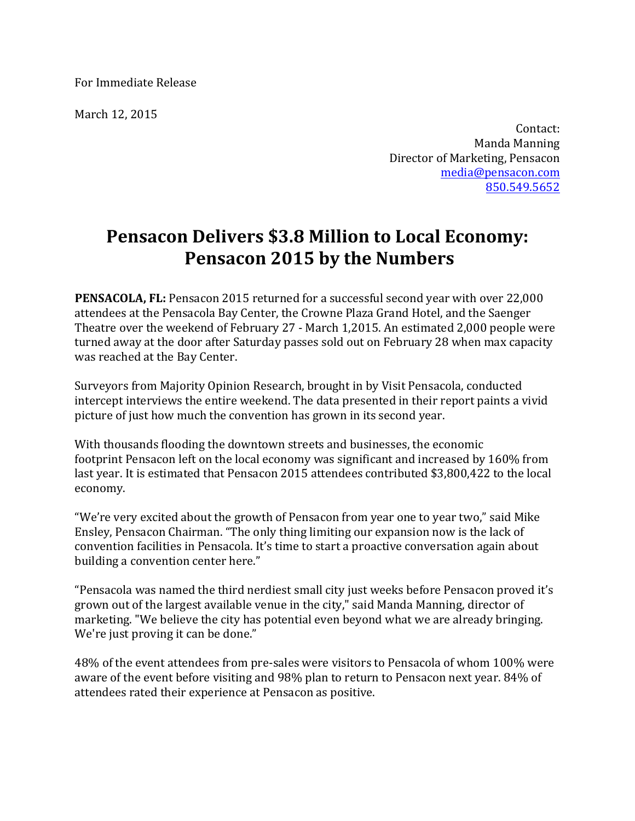For Immediate Release

March 12, 2015

Contact: Manda Manning Director of Marketing, Pensacon media@pensacon.com 850.549.5652

## **Pensacon Delivers \$3.8 Million to Local Economy: Pensacon 2015 by the Numbers**

**PENSACOLA, FL:** Pensacon 2015 returned for a successful second year with over 22,000 attendees at the Pensacola Bay Center, the Crowne Plaza Grand Hotel, and the Saenger Theatre over the weekend of February 27 - March 1,2015. An estimated 2,000 people were turned away at the door after Saturday passes sold out on February 28 when max capacity was reached at the Bay Center.

Surveyors from Majority Opinion Research, brought in by Visit Pensacola, conducted intercept interviews the entire weekend. The data presented in their report paints a vivid picture of just how much the convention has grown in its second year.

With thousands flooding the downtown streets and businesses, the economic footprint Pensacon left on the local economy was significant and increased by 160% from last year. It is estimated that Pensacon 2015 attendees contributed \$3,800,422 to the local economy.

"We're very excited about the growth of Pensacon from year one to year two," said Mike Ensley, Pensacon Chairman. "The only thing limiting our expansion now is the lack of convention facilities in Pensacola. It's time to start a proactive conversation again about building a convention center here."

"Pensacola was named the third nerdiest small city just weeks before Pensacon proved it's grown out of the largest available venue in the city," said Manda Manning, director of marketing. "We believe the city has potential even beyond what we are already bringing. We're just proving it can be done."

48% of the event attendees from pre-sales were visitors to Pensacola of whom 100% were aware of the event before visiting and 98% plan to return to Pensacon next year. 84% of attendees rated their experience at Pensacon as positive.